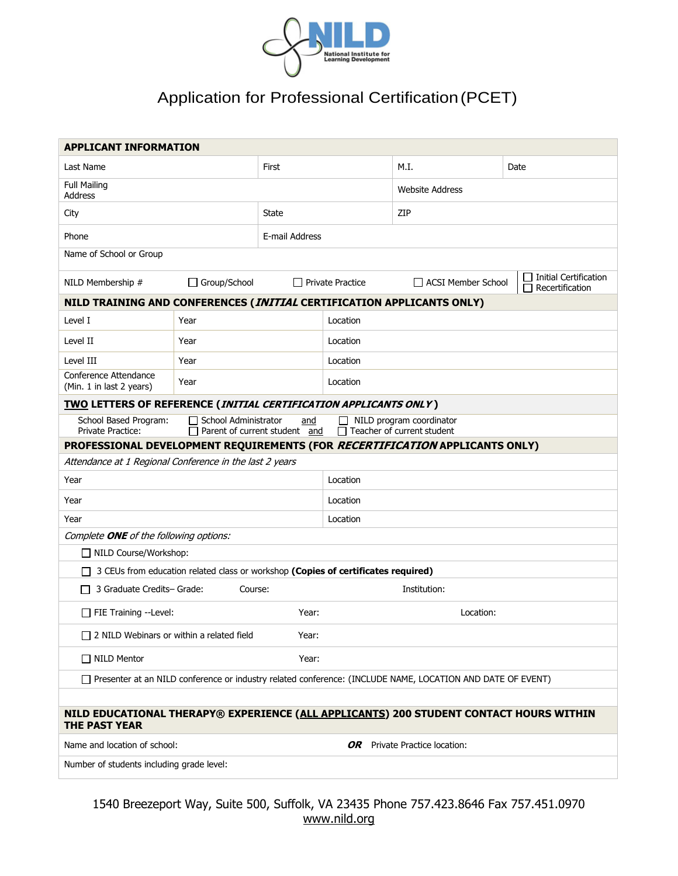

## Application for Professional Certification (PCET)

| <b>APPLICANT INFORMATION</b>                                                                                                                                                                       |                     |                |                         |                                                                       |      |  |  |  |
|----------------------------------------------------------------------------------------------------------------------------------------------------------------------------------------------------|---------------------|----------------|-------------------------|-----------------------------------------------------------------------|------|--|--|--|
| Last Name                                                                                                                                                                                          |                     | First          |                         | M.I.                                                                  | Date |  |  |  |
| <b>Full Mailing</b><br>Address                                                                                                                                                                     |                     |                |                         | <b>Website Address</b>                                                |      |  |  |  |
| City                                                                                                                                                                                               |                     | State          |                         | ZIP                                                                   |      |  |  |  |
| Phone                                                                                                                                                                                              |                     | E-mail Address |                         |                                                                       |      |  |  |  |
| Name of School or Group                                                                                                                                                                            |                     |                |                         |                                                                       |      |  |  |  |
| NILD Membership #                                                                                                                                                                                  | $\Box$ Group/School |                | $\Box$ Private Practice | Initial Certification<br>$\Box$ ACSI Member School<br>Recertification |      |  |  |  |
| NILD TRAINING AND CONFERENCES (INITIAL CERTIFICATION APPLICANTS ONLY)                                                                                                                              |                     |                |                         |                                                                       |      |  |  |  |
| Level I                                                                                                                                                                                            | Year                |                | Location                |                                                                       |      |  |  |  |
| Level II                                                                                                                                                                                           | Year                |                | Location                |                                                                       |      |  |  |  |
| Level III                                                                                                                                                                                          | Year                |                | Location                |                                                                       |      |  |  |  |
| Conference Attendance<br>(Min. 1 in last 2 years)                                                                                                                                                  | Year                |                | Location                |                                                                       |      |  |  |  |
| <b>TWO LETTERS OF REFERENCE (INITIAL CERTIFICATION APPLICANTS ONLY)</b>                                                                                                                            |                     |                |                         |                                                                       |      |  |  |  |
| School Based Program:<br>and<br>□ School Administrator<br>$\Box$ NILD program coordinator<br>$\Box$ Teacher of current student<br><b>Private Practice:</b><br>$\Box$ Parent of current student and |                     |                |                         |                                                                       |      |  |  |  |
| PROFESSIONAL DEVELOPMENT REQUIREMENTS (FOR RECERTIFICATION APPLICANTS ONLY)                                                                                                                        |                     |                |                         |                                                                       |      |  |  |  |
| Attendance at 1 Regional Conference in the last 2 years                                                                                                                                            |                     |                |                         |                                                                       |      |  |  |  |
| Year                                                                                                                                                                                               |                     | Location       |                         |                                                                       |      |  |  |  |
| Year                                                                                                                                                                                               | Location            |                |                         |                                                                       |      |  |  |  |
| Year                                                                                                                                                                                               |                     |                | Location                |                                                                       |      |  |  |  |
| Complete ONE of the following options:                                                                                                                                                             |                     |                |                         |                                                                       |      |  |  |  |
| □ NILD Course/Workshop:                                                                                                                                                                            |                     |                |                         |                                                                       |      |  |  |  |
| 3 CEUs from education related class or workshop (Copies of certificates required)                                                                                                                  |                     |                |                         |                                                                       |      |  |  |  |
| 3 Graduate Credits- Grade:<br>Course:<br>Institution:                                                                                                                                              |                     |                |                         |                                                                       |      |  |  |  |
| $\Box$ FIE Training --Level:<br>Year:<br>Location:                                                                                                                                                 |                     |                |                         |                                                                       |      |  |  |  |
| □ 2 NILD Webinars or within a related field<br>Year:                                                                                                                                               |                     |                |                         |                                                                       |      |  |  |  |
| □ NILD Mentor<br>Year:                                                                                                                                                                             |                     |                |                         |                                                                       |      |  |  |  |
| □ Presenter at an NILD conference or industry related conference: (INCLUDE NAME, LOCATION AND DATE OF EVENT)                                                                                       |                     |                |                         |                                                                       |      |  |  |  |
|                                                                                                                                                                                                    |                     |                |                         |                                                                       |      |  |  |  |
| NILD EDUCATIONAL THERAPY® EXPERIENCE (ALL APPLICANTS) 200 STUDENT CONTACT HOURS WITHIN<br><b>THE PAST YEAR</b>                                                                                     |                     |                |                         |                                                                       |      |  |  |  |
| Name and location of school:                                                                                                                                                                       |                     |                |                         | <b>OR</b> Private Practice location:                                  |      |  |  |  |
| Number of students including grade level:                                                                                                                                                          |                     |                |                         |                                                                       |      |  |  |  |

1540 Breezeport Way, Suite 500, Suffolk, VA 23435 Phone 757.423.8646 Fax 757.451.0970 [www.nild.org](http://www.nild.org/)